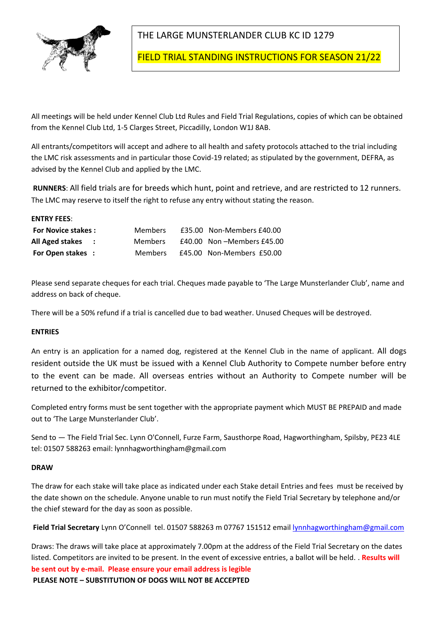

# THE LARGE MUNSTERLANDER CLUB KC ID 1279

FIELD TRIAL STANDING INSTRUCTIONS FOR SEASON 21/22

All meetings will be held under Kennel Club Ltd Rules and Field Trial Regulations, copies of which can be obtained from the Kennel Club Ltd, 1-5 Clarges Street, Piccadilly, London W1J 8AB.

All entrants/competitors will accept and adhere to all health and safety protocols attached to the trial including the LMC risk assessments and in particular those Covid-19 related; as stipulated by the government, DEFRA, as advised by the Kennel Club and applied by the LMC.

**RUNNERS**: All field trials are for breeds which hunt, point and retrieve, and are restricted to 12 runners. The LMC may reserve to itself the right to refuse any entry without stating the reason.

| <b>ENTRY FEES:</b>        |                |                           |
|---------------------------|----------------|---------------------------|
| <b>For Novice stakes:</b> | <b>Members</b> | £35.00 Non-Members £40.00 |
| All Aged stakes :         | <b>Members</b> | £40.00 Non-Members £45.00 |
| <b>For Open stakes :</b>  | <b>Members</b> | £45.00 Non-Members £50.00 |

Please send separate cheques for each trial. Cheques made payable to 'The Large Munsterlander Club', name and address on back of cheque.

There will be a 50% refund if a trial is cancelled due to bad weather. Unused Cheques will be destroyed.

### **ENTRIES**

An entry is an application for a named dog, registered at the Kennel Club in the name of applicant. All dogs resident outside the UK must be issued with a Kennel Club Authority to Compete number before entry to the event can be made. All overseas entries without an Authority to Compete number will be returned to the exhibitor/competitor.

Completed entry forms must be sent together with the appropriate payment which MUST BE PREPAID and made out to 'The Large Munsterlander Club'.

Send to — The Field Trial Sec. Lynn O'Connell, Furze Farm, Sausthorpe Road, Hagworthingham, Spilsby, PE23 4LE tel: 01507 588263 email: lynnhagworthingham@gmail.com

### **DRAW**

The draw for each stake will take place as indicated under each Stake detail Entries and fees must be received by the date shown on the schedule. Anyone unable to run must notify the Field Trial Secretary by telephone and/or the chief steward for the day as soon as possible.

**Field Trial Secretary** Lynn O'Connell tel. 01507 588263 m 07767 151512 email lynnhagworthingham@gmail.com

Draws: The draws will take place at approximately 7.00pm at the address of the Field Trial Secretary on the dates listed. Competitors are invited to be present. In the event of excessive entries, a ballot will be held. . **Results will be sent out by e-mail. Please ensure your email address is legible PLEASE NOTE – SUBSTITUTION OF DOGS WILL NOT BE ACCEPTED**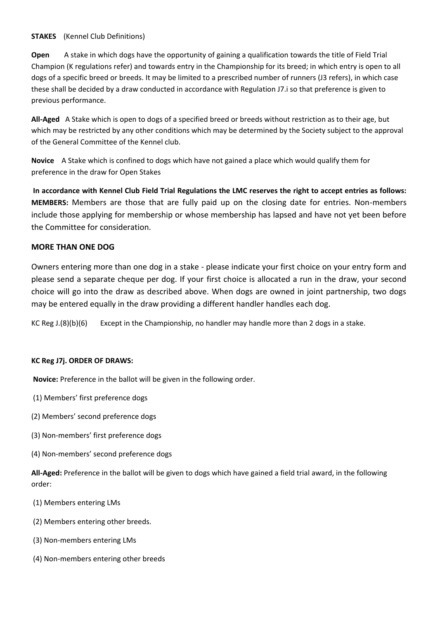### **STAKES** (Kennel Club Definitions)

**Open** A stake in which dogs have the opportunity of gaining a qualification towards the title of Field Trial Champion (K regulations refer) and towards entry in the Championship for its breed; in which entry is open to all dogs of a specific breed or breeds. It may be limited to a prescribed number of runners (J3 refers), in which case these shall be decided by a draw conducted in accordance with Regulation J7.i so that preference is given to previous performance.

**All-Aged** A Stake which is open to dogs of a specified breed or breeds without restriction as to their age, but which may be restricted by any other conditions which may be determined by the Society subject to the approval of the General Committee of the Kennel club.

**Novice** A Stake which is confined to dogs which have not gained a place which would qualify them for preference in the draw for Open Stakes

**In accordance with Kennel Club Field Trial Regulations the LMC reserves the right to accept entries as follows: MEMBERS:** Members are those that are fully paid up on the closing date for entries. Non-members include those applying for membership or whose membership has lapsed and have not yet been before the Committee for consideration.

### **MORE THAN ONE DOG**

Owners entering more than one dog in a stake - please indicate your first choice on your entry form and please send a separate cheque per dog. If your first choice is allocated a run in the draw, your second choice will go into the draw as described above. When dogs are owned in joint partnership, two dogs may be entered equally in the draw providing a different handler handles each dog.

KC Reg J.(8)(b)(6) Except in the Championship, no handler may handle more than 2 dogs in a stake.

### **KC Reg J7j. ORDER OF DRAWS:**

**Novice:** Preference in the ballot will be given in the following order.

(1) Members' first preference dogs

- (2) Members' second preference dogs
- (3) Non-members' first preference dogs
- (4) Non-members' second preference dogs

**All-Aged:** Preference in the ballot will be given to dogs which have gained a field trial award, in the following order:

- (1) Members entering LMs
- (2) Members entering other breeds.
- (3) Non-members entering LMs
- (4) Non-members entering other breeds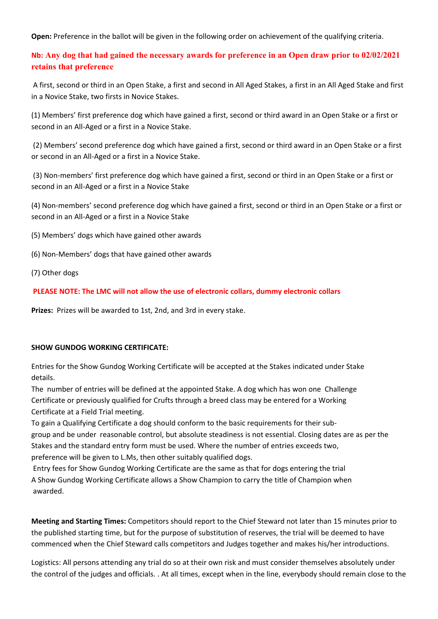**Open:** Preference in the ballot will be given in the following order on achievement of the qualifying criteria.

### **Nb: Any dog that had gained the necessary awards for preference in an Open draw prior to 02/02/2021 retains that preference**

A first, second or third in an Open Stake, a first and second in All Aged Stakes, a first in an All Aged Stake and first in a Novice Stake, two firsts in Novice Stakes.

(1) Members' first preference dog which have gained a first, second or third award in an Open Stake or a first or second in an All-Aged or a first in a Novice Stake.

(2) Members' second preference dog which have gained a first, second or third award in an Open Stake or a first or second in an All-Aged or a first in a Novice Stake.

(3) Non-members' first preference dog which have gained a first, second or third in an Open Stake or a first or second in an All-Aged or a first in a Novice Stake

(4) Non-members' second preference dog which have gained a first, second or third in an Open Stake or a first or second in an All-Aged or a first in a Novice Stake

(5) Members' dogs which have gained other awards

- (6) Non-Members' dogs that have gained other awards
- (7) Other dogs

### **PLEASE NOTE: The LMC will not allow the use of electronic collars, dummy electronic collars**

**Prizes:** Prizes will be awarded to 1st, 2nd, and 3rd in every stake.

### **SHOW GUNDOG WORKING CERTIFICATE:**

Entries for the Show Gundog Working Certificate will be accepted at the Stakes indicated under Stake details.

The number of entries will be defined at the appointed Stake. A dog which has won one Challenge Certificate or previously qualified for Crufts through a breed class may be entered for a Working Certificate at a Field Trial meeting.

To gain a Qualifying Certificate a dog should conform to the basic requirements for their subgroup and be under reasonable control, but absolute steadiness is not essential. Closing dates are as per the Stakes and the standard entry form must be used. Where the number of entries exceeds two, preference will be given to L.Ms, then other suitably qualified dogs.

Entry fees for Show Gundog Working Certificate are the same as that for dogs entering the trial A Show Gundog Working Certificate allows a Show Champion to carry the title of Champion when awarded.

**Meeting and Starting Times:** Competitors should report to the Chief Steward not later than 15 minutes prior to the published starting time, but for the purpose of substitution of reserves, the trial will be deemed to have commenced when the Chief Steward calls competitors and Judges together and makes his/her introductions.

Logistics: All persons attending any trial do so at their own risk and must consider themselves absolutely under the control of the judges and officials. . At all times, except when in the line, everybody should remain close to the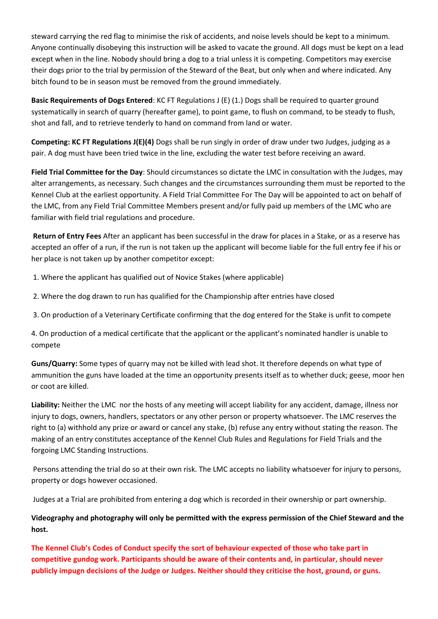steward carrying the red flag to minimise the risk of accidents, and noise levels should be kept to a minimum. Anyone continually disobeying this instruction will be asked to vacate the ground. All dogs must be kept on a lead except when in the line. Nobody should bring a dog to a trial unless it is competing. Competitors may exercise their dogs prior to the trial by permission of the Steward of the Beat, but only when and where indicated. Any bitch found to be in season must be removed from the ground immediately.

**Basic Requirements of Dogs Entered**: KC FT Regulations J (E) (1.) Dogs shall be required to quarter ground systematically in search of quarry (hereafter game), to point game, to flush on command, to be steady to flush, shot and fall, and to retrieve tenderly to hand on command from land or water.

**Competing: KC FT Regulations J(E)(4)** Dogs shall be run singly in order of draw under two Judges, judging as a pair. A dog must have been tried twice in the line, excluding the water test before receiving an award.

**Field Trial Committee for the Day**: Should circumstances so dictate the LMC in consultation with the Judges, may alter arrangements, as necessary. Such changes and the circumstances surrounding them must be reported to the Kennel Club at the earliest opportunity. A Field Trial Committee For The Day will be appointed to act on behalf of the LMC, from any Field Trial Committee Members present and/or fully paid up members of the LMC who are familiar with field trial regulations and procedure.

**Return of Entry Fees** After an applicant has been successful in the draw for places in a Stake, or as a reserve has accepted an offer of a run, if the run is not taken up the applicant will become liable for the full entry fee if his or her place is not taken up by another competitor except:

1. Where the applicant has qualified out of Novice Stakes (where applicable)

- 2. Where the dog drawn to run has qualified for the Championship after entries have closed
- 3. On production of a Veterinary Certificate confirming that the dog entered for the Stake is unfit to compete

4. On production of a medical certificate that the applicant or the applicant's nominated handler is unable to compete

**Guns/Quarry:** Some types of quarry may not be killed with lead shot. It therefore depends on what type of ammunition the guns have loaded at the time an opportunity presents itself as to whether duck; geese, moor hen or coot are killed.

**Liability:** Neither the LMC nor the hosts of any meeting will accept liability for any accident, damage, illness nor injury to dogs, owners, handlers, spectators or any other person or property whatsoever. The LMC reserves the right to (a) withhold any prize or award or cancel any stake, (b) refuse any entry without stating the reason. The making of an entry constitutes acceptance of the Kennel Club Rules and Regulations for Field Trials and the forgoing LMC Standing Instructions.

Persons attending the trial do so at their own risk. The LMC accepts no liability whatsoever for injury to persons, property or dogs however occasioned.

Judges at a Trial are prohibited from entering a dog which is recorded in their ownership or part ownership.

### **Videography and photography will only be permitted with the express permission of the Chief Steward and the host.**

**The Kennel Club's Codes of Conduct specify the sort of behaviour expected of those who take part in competitive gundog work. Participants should be aware of their contents and, in particular, should never publicly impugn decisions of the Judge or Judges. Neither should they criticise the host, ground, or guns.**